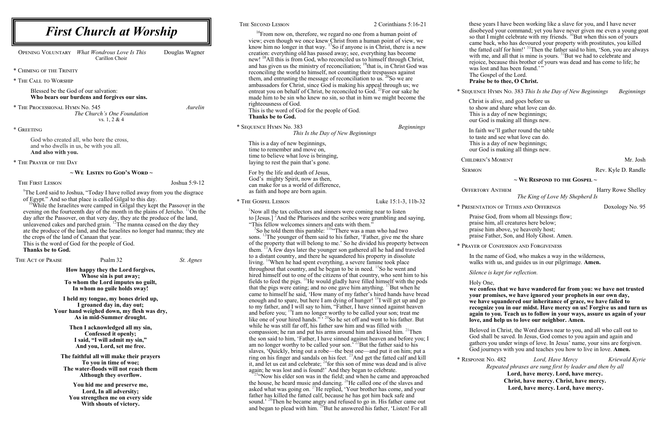<sup>25</sup>"Now his elder son was in the field; and when he came and approached the house, he heard music and dancing.  $^{26}$ He called one of the slaves and asked what was going on.  $^{27}$ He replied, 'Your brother has come, and your father has killed the fatted calf, because he has got him back safe and sound.<sup>' 28</sup>Then he became angry and refused to go in. His father came out and began to plead with him. <sup>29</sup>But he answered his father, 'Listen! For all

ars I have been working like a slave for you, and I have never ed your command; yet you have never given me even a young goat so that I might celebrate with my friends.  $^{30}$ But when this son of yours ck, who has devoured your property with prostitutes, you killed the fatted calf for him!'  $31$ Then the father said to him, 'Son, you are always with me, and all that is mine is yours.  $32$ But we had to celebrate and pecause this brother of yours was dead and has come to life; he and has been found.'"

pel of the Lord.

### $\tilde{\textbf{P}}$ e to thee, O Christ.

| <b>First Church at Worship</b>                                                                                                                                    |                                                             |                                     | THE SECOND LESSON                                                                          | 2 Corinthians 5:16-21                                                                                                                                                    | these years<br>disobeyed    |
|-------------------------------------------------------------------------------------------------------------------------------------------------------------------|-------------------------------------------------------------|-------------------------------------|--------------------------------------------------------------------------------------------|--------------------------------------------------------------------------------------------------------------------------------------------------------------------------|-----------------------------|
|                                                                                                                                                                   |                                                             |                                     |                                                                                            | <sup>16</sup> From now on, therefore, we regard no one from a human point of                                                                                             | so that I mi                |
|                                                                                                                                                                   |                                                             |                                     |                                                                                            | view; even though we once knew Christ from a human point of view, we<br>know him no longer in that way. <sup>17</sup> So if anyone is in Christ, there is a new          | came back.                  |
| OPENING VOLUNTARY                                                                                                                                                 | What Wondrous Love Is This                                  | Douglas Wagner                      | creation: everything old has passed away; see, everything has become                       |                                                                                                                                                                          | the fatted c                |
|                                                                                                                                                                   | Carillon Choir                                              |                                     |                                                                                            | new! <sup>18</sup> All this is from God, who reconciled us to himself through Christ,                                                                                    | with me, an                 |
|                                                                                                                                                                   |                                                             |                                     |                                                                                            | and has given us the ministry of reconciliation; <sup>19</sup> that is, in Christ God was                                                                                | rejoice, bed<br>was lost an |
| * CHIMING OF THE TRINITY                                                                                                                                          |                                                             |                                     | reconciling the world to himself, not counting their trespasses against                    |                                                                                                                                                                          | The Gospe                   |
| * THE CALL TO WORSHIP                                                                                                                                             |                                                             |                                     | them, and entrusting the message of reconciliation to us. <sup>20</sup> So we are          | ambassadors for Christ, since God is making his appeal through us; we                                                                                                    | Praise be t                 |
| Blessed be the God of our salvation:                                                                                                                              |                                                             |                                     |                                                                                            | entreat you on behalf of Christ, be reconciled to God. <sup>21</sup> For our sake he                                                                                     | * SEQUENCE HY               |
| Who bears our burdens and forgives our sins.                                                                                                                      |                                                             |                                     |                                                                                            | made him to be sin who knew no sin, so that in him we might become the                                                                                                   | Christ is al                |
| * THE PROCESSIONAL HYMN No. 545                                                                                                                                   |                                                             | Aurelin                             | righteousness of God.<br>This is the word of God for the people of God.                    |                                                                                                                                                                          | to show an                  |
|                                                                                                                                                                   | The Church's One Foundation                                 |                                     | Thanks be to God.                                                                          |                                                                                                                                                                          | This is a da                |
|                                                                                                                                                                   | vs. $1, 2 \& 4$                                             |                                     |                                                                                            |                                                                                                                                                                          | our God is                  |
| * GREETING                                                                                                                                                        |                                                             |                                     | * SEQUENCE HYMN No. 383                                                                    | <b>Beginnings</b>                                                                                                                                                        | In faith we                 |
|                                                                                                                                                                   |                                                             |                                     |                                                                                            | This Is the Day of New Beginnings                                                                                                                                        | to taste and                |
| God who created all, who bore the cross,<br>and who dwells in us, be with you all.                                                                                |                                                             |                                     | This is a day of new beginnings,                                                           |                                                                                                                                                                          | This is a da                |
| And also with you.                                                                                                                                                |                                                             |                                     | time to remember and move on,                                                              |                                                                                                                                                                          | our God is                  |
|                                                                                                                                                                   |                                                             |                                     | time to believe what love is bringing,                                                     |                                                                                                                                                                          | CHILDREN'S N                |
| * THE PRAYER OF THE DAY                                                                                                                                           |                                                             |                                     | laying to rest the pain that's gone.                                                       |                                                                                                                                                                          |                             |
| $\sim$ We Listen to God's Word $\sim$                                                                                                                             |                                                             | For by the life and death of Jesus, |                                                                                            | <b>SERMON</b>                                                                                                                                                            |                             |
|                                                                                                                                                                   |                                                             |                                     | God's mighty Spirit, now as then,                                                          |                                                                                                                                                                          |                             |
| THE FIRST LESSON                                                                                                                                                  |                                                             | Joshua 5:9-12                       | can make for us a world of difference,                                                     |                                                                                                                                                                          |                             |
| The Lord said to Joshua, "Today I have rolled away from you the disgrace"                                                                                         |                                                             |                                     | as faith and hope are born again.                                                          |                                                                                                                                                                          | <b>OFFERTORY A</b>          |
| of Egypt." And so that place is called Gilgal to this day.                                                                                                        |                                                             |                                     | * THE GOSPEL LESSON                                                                        | Luke 15:1-3, 11b-32                                                                                                                                                      |                             |
| <sup>10</sup> While the Israelites were camped in Gilgal they kept the Passover in the                                                                            |                                                             |                                     |                                                                                            |                                                                                                                                                                          | * PRESENTATION              |
| evening on the fourteenth day of the month in the plains of Jericho. <sup>11</sup> On the                                                                         |                                                             |                                     | Now all the tax collectors and sinners were coming near to listen                          |                                                                                                                                                                          | Praise God                  |
| day after the Passover, on that very day, they ate the produce of the land,<br>unleavened cakes and parched grain. <sup>12</sup> The manna ceased on the day they |                                                             |                                     | "This fellow welcomes sinners and eats with them."                                         | to [Jesus.] ${}^{2}$ And the Pharisees and the scribes were grumbling and saying,                                                                                        | praise him,                 |
| ate the produce of the land, and the Israelites no longer had manna; they ate                                                                                     |                                                             |                                     | So he told them this parable: <sup>11ba</sup> There was a man who had two                  |                                                                                                                                                                          | praise him                  |
| the crops of the land of Canaan that year.                                                                                                                        |                                                             |                                     |                                                                                            | sons. <sup>12</sup> The younger of them said to his father, 'Father, give me the share                                                                                   | praise Fath                 |
| This is the word of God for the people of God.                                                                                                                    |                                                             |                                     |                                                                                            | of the property that will belong to me.' So he divided his property between                                                                                              |                             |
| <b>Thanks be to God.</b>                                                                                                                                          |                                                             |                                     |                                                                                            | them. <sup>13</sup> A few days later the younger son gathered all he had and traveled                                                                                    | * PRAYER OF CO              |
|                                                                                                                                                                   | Psalm 32                                                    |                                     | to a distant country, and there he squandered his property in dissolute                    |                                                                                                                                                                          | In the name                 |
| THE ACT OF PRAISE                                                                                                                                                 |                                                             | St. Agnes                           | living. <sup>14</sup> When he had spent everything, a severe famine took place             |                                                                                                                                                                          | walks with                  |
|                                                                                                                                                                   | How happy they the Lord forgives,<br>Whose sin is put away; |                                     | throughout that country, and he began to be in need. <sup>15</sup> So he went and          | hired himself out to one of the citizens of that country, who sent him to his                                                                                            | Silence is k                |
|                                                                                                                                                                   | To whom the Lord imputes no guilt,                          |                                     |                                                                                            | fields to feed the pigs. <sup>16</sup> He would gladly have filled himself with the pods                                                                                 | Holy One,                   |
| In whom no guile holds sway!                                                                                                                                      |                                                             |                                     | that the pigs were eating; and no one gave him anything. $\frac{17}{2}$ But when he        |                                                                                                                                                                          | we confess                  |
|                                                                                                                                                                   |                                                             |                                     |                                                                                            | came to himself he said, 'How many of my father's hired hands have bread                                                                                                 | your prom                   |
| I held my tongue, my bones dried up,<br>I groaned day in, day out;                                                                                                |                                                             |                                     | enough and to spare, but here I am dying of hunger! <sup>18</sup> I will get up and go     | we have so                                                                                                                                                               |                             |
|                                                                                                                                                                   | Your hand weighed down, my flesh was dry,                   |                                     |                                                                                            | to my father, and I will say to him, "Father, I have sinned against heaven                                                                                               | recognize                   |
|                                                                                                                                                                   | As in mid-Summer drought.                                   |                                     |                                                                                            | and before you; $^{19}$ I am no longer worthy to be called your son; treat me<br>like one of your hired hands.", <sup>20</sup> So he set off and went to his father. But | again to yo                 |
|                                                                                                                                                                   |                                                             |                                     | while he was still far off, his father saw him and was filled with                         |                                                                                                                                                                          | love, and h                 |
| Then I acknowledged all my sin,<br>Confessed it openly;                                                                                                           |                                                             |                                     | compassion; he ran and put his arms around him and kissed him. <sup>21</sup> Then          | Beloved in                                                                                                                                                               |                             |
| I said, "I will admit my sin,"                                                                                                                                    |                                                             |                                     | the son said to him, 'Father, I have sinned against heaven and before you; I               | God shall b                                                                                                                                                              |                             |
| And you, Lord, set me free.                                                                                                                                       |                                                             |                                     | am no longer worthy to be called your son. <sup>722</sup> But the father said to his       | gathers you                                                                                                                                                              |                             |
|                                                                                                                                                                   |                                                             |                                     |                                                                                            | slaves, 'Quickly, bring out a robe—the best one—and put it on him; put a                                                                                                 | God journe                  |
| The faithful all will make their prayers                                                                                                                          |                                                             |                                     | ring on his finger and sandals on his feet. <sup>23</sup> And get the fatted calf and kill | * RESPONSE NO.                                                                                                                                                           |                             |
| To you in time of woe;<br>The water-floods will not reach them                                                                                                    |                                                             |                                     |                                                                                            | it, and let us eat and celebrate; $^{24}$ for this son of mine was dead and is alive                                                                                     | Rep                         |
| Although they overflow.                                                                                                                                           |                                                             |                                     | again; he was lost and is found!' And they began to celebrate.                             | <sup>254</sup> Now his elder son was in the field: and when he came and approached                                                                                       |                             |
|                                                                                                                                                                   |                                                             |                                     |                                                                                            |                                                                                                                                                                          |                             |

\* Sequence Hymn No. 383 *This Is the Day of New Beginnings Beginnings*

alive, and goes before us and share what love can do. day of new beginnings; is making all things new.

ve'll gather round the table and see what love can do. day of new beginnings; is making all things new.

Rev. Kyle D. Randle

#### **~ We Respond to the Gospel ~**

*The King of Love My Shepherd Is*

on of Tithes and Offerings Doxology No. 95

od, from whom all blessings flow; m, all creatures here below; m above, ye heavenly host; ather, Son, and Holy Ghost. Amen.

CONFESSION AND FORGIVENESS

ame of God, who makes a way in the wilderness, ith us, and guides us in our pilgrimage. **Amen.** 

*Is kept for reflection.* 

ess that we have wandered far from you: we have not trusted **your promises, we have ignored your prophets in our own day, we have squandered our inheritance of grace, we have failed to**  re you in our midst. Have mercy on us! Forgive us and turn us **again to you. Teach us to follow in your ways, assure us again of your**  d help us to love our neighbor. Amen.

in Christ, the Word draws near to you, and all who call out to Il be saved. In Jesus, God comes to you again and again and you under wings of love. In Jesus' name, your sins are forgiven. rneys with you and teaches you how to live in love. **Amen.** 

\* Response No. 482 *Lord, Have Mercy Kriewald Kyrie Repeated phrases are sung first by leader and then by all*  **Lord, have mercy. Lord, have mercy. Christ, have mercy. Christ, have mercy. Lord, have mercy. Lord, have mercy.**

ANTHEM Harry Rowe Shelley

# MOMENT Mr. Josh

**You hid me and preserve me, Lord, In all adversity; You strengthen me on every side With shouts of victory.**